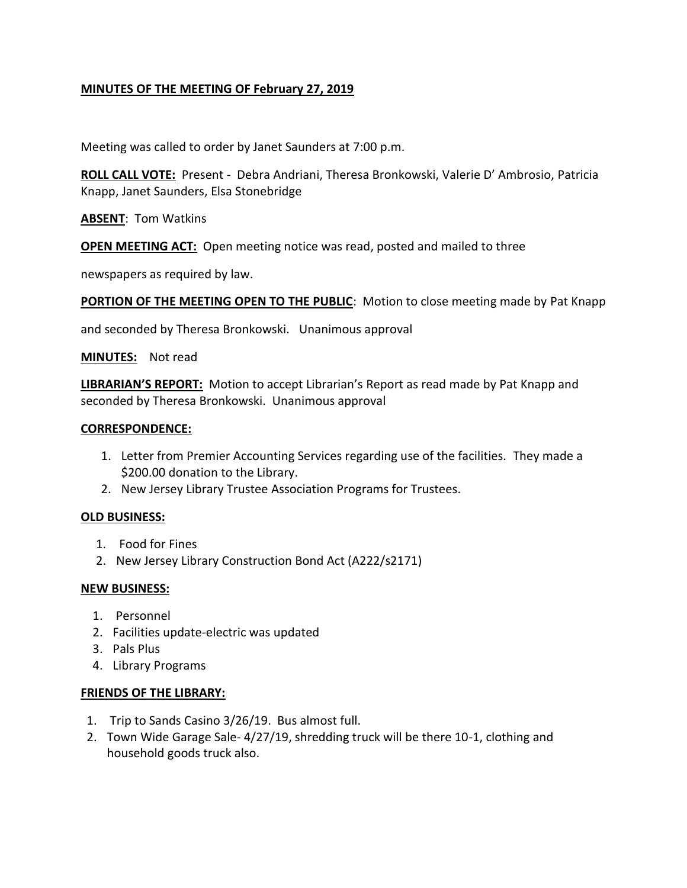# **MINUTES OF THE MEETING OF February 27, 2019**

Meeting was called to order by Janet Saunders at 7:00 p.m.

**ROLL CALL VOTE:** Present - Debra Andriani, Theresa Bronkowski, Valerie D' Ambrosio, Patricia Knapp, Janet Saunders, Elsa Stonebridge

**ABSENT**: Tom Watkins

**OPEN MEETING ACT:** Open meeting notice was read, posted and mailed to three

newspapers as required by law.

**PORTION OF THE MEETING OPEN TO THE PUBLIC:** Motion to close meeting made by Pat Knapp

and seconded by Theresa Bronkowski. Unanimous approval

**MINUTES:** Not read

**LIBRARIAN'S REPORT:** Motion to accept Librarian's Report as read made by Pat Knapp and seconded by Theresa Bronkowski. Unanimous approval

#### **CORRESPONDENCE:**

- 1. Letter from Premier Accounting Services regarding use of the facilities. They made a \$200.00 donation to the Library.
- 2. New Jersey Library Trustee Association Programs for Trustees.

#### **OLD BUSINESS:**

- 1. Food for Fines
- 2. New Jersey Library Construction Bond Act (A222/s2171)

### **NEW BUSINESS:**

- 1. Personnel
- 2. Facilities update-electric was updated
- 3. Pals Plus
- 4. Library Programs

### **FRIENDS OF THE LIBRARY:**

- 1. Trip to Sands Casino 3/26/19. Bus almost full.
- 2. Town Wide Garage Sale- 4/27/19, shredding truck will be there 10-1, clothing and household goods truck also.